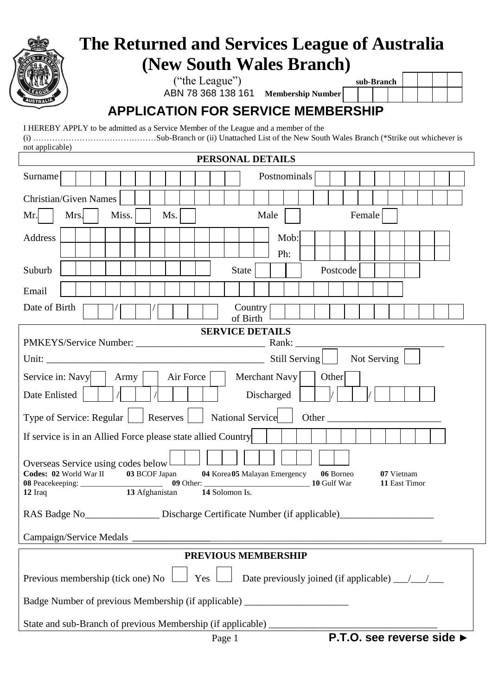| The Returned and Services League of Australia                                                                                                                                                                                                                                                          |  |  |
|--------------------------------------------------------------------------------------------------------------------------------------------------------------------------------------------------------------------------------------------------------------------------------------------------------|--|--|
| (New South Wales Branch)                                                                                                                                                                                                                                                                               |  |  |
| ("the League")<br>sub-Branch<br>ABN 78 368 138 161 Membership Number                                                                                                                                                                                                                                   |  |  |
| <b>APPLICATION FOR SERVICE MEMBERSHIP</b>                                                                                                                                                                                                                                                              |  |  |
| I HEREBY APPLY to be admitted as a Service Member of the League and a member of the                                                                                                                                                                                                                    |  |  |
| not applicable)                                                                                                                                                                                                                                                                                        |  |  |
| PERSONAL DETAILS                                                                                                                                                                                                                                                                                       |  |  |
| Postnominals<br>Surname                                                                                                                                                                                                                                                                                |  |  |
| <b>Christian/Given Names</b>                                                                                                                                                                                                                                                                           |  |  |
| Mrs.<br>Miss.<br>Ms.<br>Male<br>Female<br>Mr.                                                                                                                                                                                                                                                          |  |  |
| Address<br>Mob:                                                                                                                                                                                                                                                                                        |  |  |
| Ph:                                                                                                                                                                                                                                                                                                    |  |  |
| Suburb<br><b>State</b><br>Postcode                                                                                                                                                                                                                                                                     |  |  |
| Email                                                                                                                                                                                                                                                                                                  |  |  |
| Date of Birth<br>Country                                                                                                                                                                                                                                                                               |  |  |
| of Birth<br><b>SERVICE DETAILS</b>                                                                                                                                                                                                                                                                     |  |  |
|                                                                                                                                                                                                                                                                                                        |  |  |
| Not Serving                                                                                                                                                                                                                                                                                            |  |  |
| Air Force<br>Service in: Navy<br>Merchant Navy<br>Other<br>Army                                                                                                                                                                                                                                        |  |  |
| Date Enlisted<br>Discharged                                                                                                                                                                                                                                                                            |  |  |
| <b>National Service</b><br>Type of Service: Regular<br>Reserves<br><b>Other</b> contracts to the contract of the contract of the contract of the contract of the contract of the contract of the contract of the contract of the contract of the contract of the contract of the contract of the contr |  |  |
| If service is in an Allied Force please state allied Country                                                                                                                                                                                                                                           |  |  |
|                                                                                                                                                                                                                                                                                                        |  |  |
| Overseas Service using codes below<br>Codes: 02 World War II 03 BCOF Japan<br>04 Korea 05 Malayan Emergency<br>06 Borneo<br>07 Vietnam                                                                                                                                                                 |  |  |
| 09 Other:<br>10 Gulf War<br>11 East Timor<br>14 Solomon Is.<br>13 Afghanistan<br>$12$ Iraq                                                                                                                                                                                                             |  |  |
|                                                                                                                                                                                                                                                                                                        |  |  |
| RAS Badge No_________________ Discharge Certificate Number (if applicable)_________________________                                                                                                                                                                                                    |  |  |
|                                                                                                                                                                                                                                                                                                        |  |  |
| PREVIOUS MEMBERSHIP                                                                                                                                                                                                                                                                                    |  |  |
| Previous membership (tick one) No<br>Yes                                                                                                                                                                                                                                                               |  |  |
| Badge Number of previous Membership (if applicable) ____________________________                                                                                                                                                                                                                       |  |  |
|                                                                                                                                                                                                                                                                                                        |  |  |
| State and sub-Branch of previous Membership (if applicable) _____________________<br>P.T.O. see reverse side ►<br>Page 1                                                                                                                                                                               |  |  |